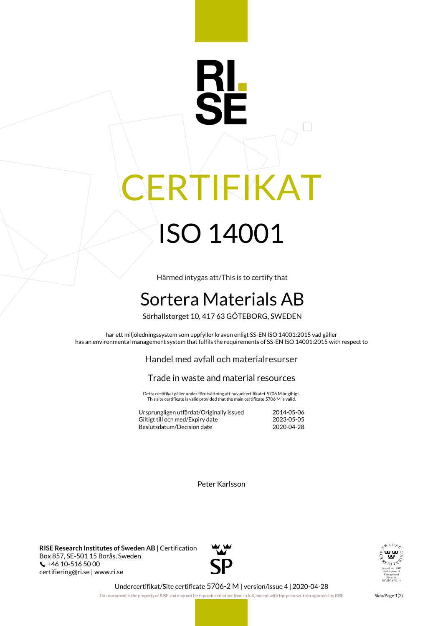## R ERTIFIKAT ISO 14001

Härmed intygas att/This is to certify that

## Sortera Materials AB

Sörhallstorget 10, 417 63 GÖTEBORG, SWEDEN

har ett miljöledningssystem som uppfyller kraven enligt SS-EN ISO 14001:2015 vad gäller has an environmental management system that fulfils the requirements of SS-EN ISO 14001:2015 with respect to

Handel med avfall och materialresurser

## Trade in waste and material resources

Detta certifikat gäller under förutsättning att huvudcertifikatet 5706 M är giltigt. This site certificate is valid provided that the main certificate 5706 M is valid.

| Ursprungligen utfärdat/Originally issued | 2014-05-06 |
|------------------------------------------|------------|
| Giltigt till och med/Expiry date         | 2023-05-05 |
| Beslutsdatum/Decision date               | 2020-04-28 |

Peter Karlsson

**RISE Research Institutes of Sweden AB** | Certification Box 857, SE-501 15 Borås, Sweden  $\binom{4}{10}$  +46 10-516 50 00 certifiering@ri.se | www.ri.se





Undercertifikat/Site certificate 5706-2 M | version/issue 4 | 2020-04-28

This document is the property of RISE and may not be reproduced other than in full, except with the prior written approval by RISE. Sida/Page 1(2)